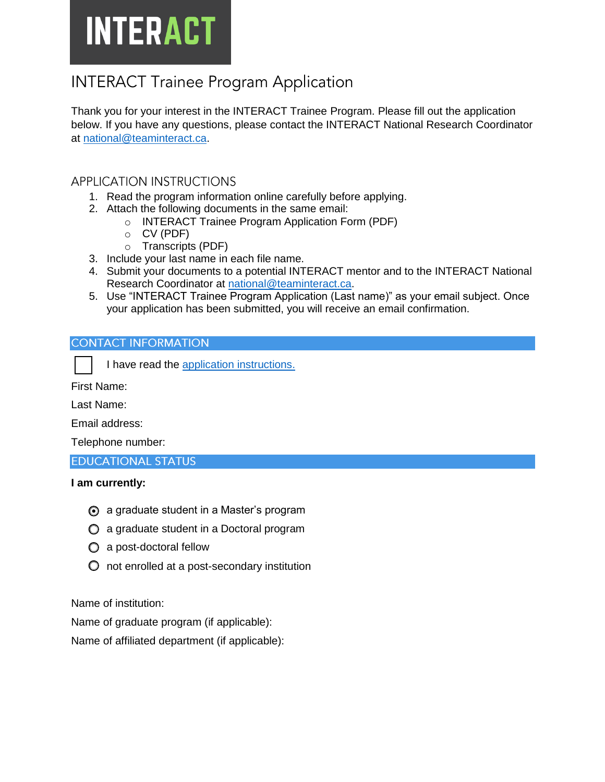# **INTERACT**

# **INTERACT Trainee Program Application**

Thank you for your interest in the INTERACT Trainee Program. Please fill out the application below. If you have any questions, please contact the INTERACT National Research Coordinator at [national@teaminteract.ca.](mailto:national@teaminteract.ca)

# **APPLICATION INSTRUCTIONS**

- 1. Read the program information online carefully before applying.
- 2. Attach the following documents in the same email:
	- o INTERACT Trainee Program Application Form (PDF)
	- o CV (PDF)
	- o Transcripts (PDF)
- 3. Include your last name in each file name.
- 4. Submit your documents to a potential INTERACT mentor and to the INTERACT National Research Coordinator at [national@teaminteract.ca.](mailto:national@teaminteract.ca)
- 5. Use "INTERACT Trainee Program Application (Last name)" as your email subject. Once your application has been submitted, you will receive an email confirmation.

# **CONTACT INFORMATION**

First Name:

Last Name:

Email address:

Telephone number:

### **EDUCATIONAL STATUS**

### **I am currently:**

- **◯** a graduate student in a Master's program
- a graduate student in a Doctoral program
- $\bigcirc$  a post-doctoral fellow
- $\overline{O}$  not enrolled at a post-secondary institution

Name of institution:

Name of graduate program (if applicable):

Name of affiliated department (if applicable):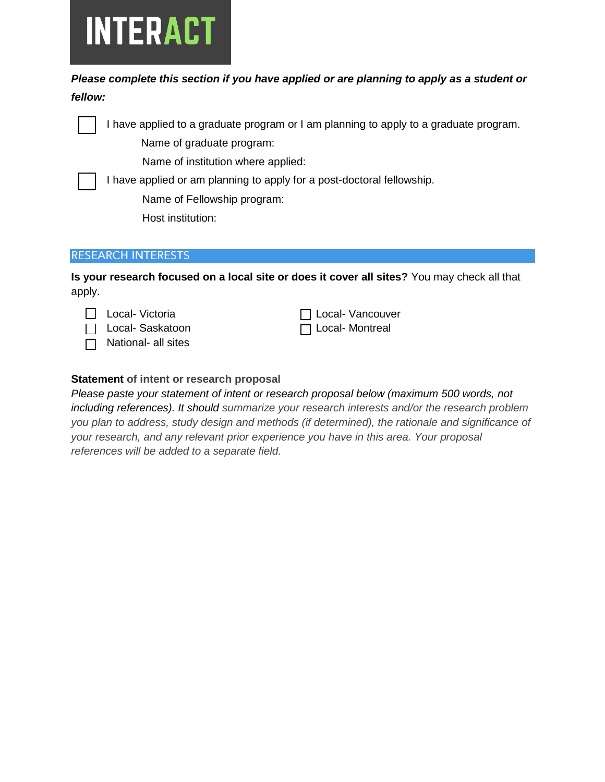

# *Please complete this section if you have applied or are planning to apply as a student or fellow:*



I have applied to a graduate program or I am planning to apply to a graduate program.

Name of graduate program:

Name of institution where applied:

I have applied or am planning to apply for a post-doctoral fellowship. Name of Fellowship program:

Host institution:

# **RESEARCH INTERESTS**

**Is your research focused on a local site or does it cover all sites?** You may check all that apply.



 $\Box$  Local- Saskatoon

 $\Box$  National- all sites

|  | □ Local- Vancouver |
|--|--------------------|
|  | □ Local- Montreal  |

# **Statement of intent or research proposal**

*Please paste your statement of intent or research proposal below (maximum 500 words, not including references). It should summarize your research interests and/or the research problem you plan to address, study design and methods (if determined), the rationale and significance of your research, and any relevant prior experience you have in this area. Your proposal references will be added to a separate field.*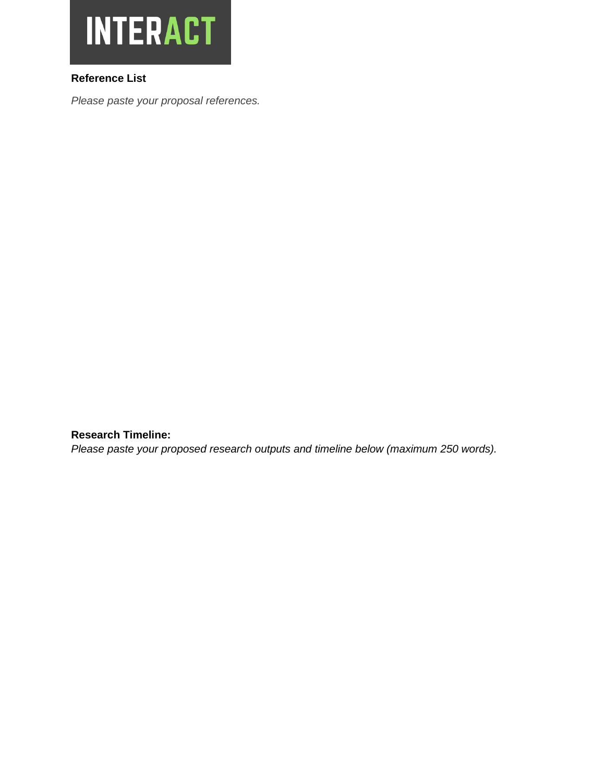

# **Reference List**

*Please paste your proposal references.*

**Research Timeline:**

*Please paste your proposed research outputs and timeline below (maximum 250 words).*